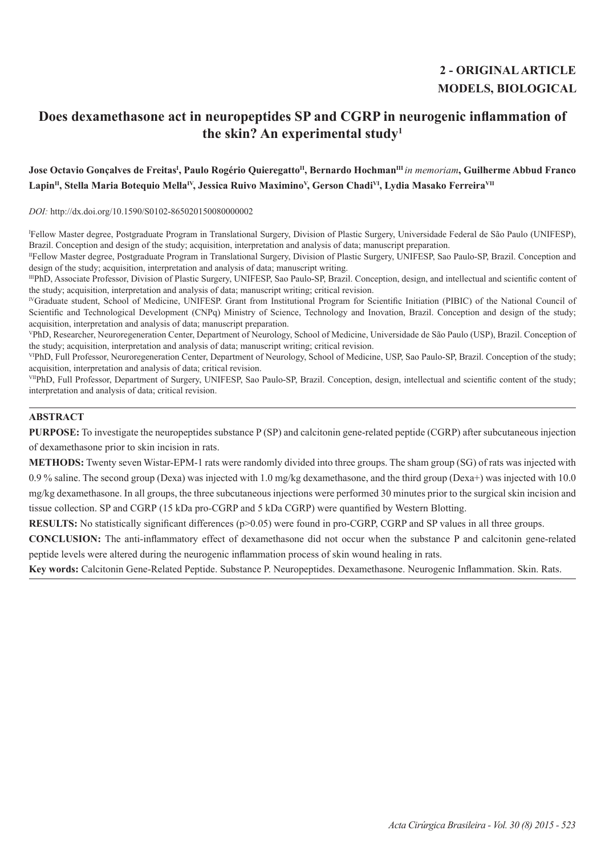# **2 - ORIGINAL ARTICLE MODELS, BIOLOGICAL**

## **Does dexamethasone act in neuropeptides SP and CGRP in neurogenic inflammation of the skin? An experimental study1**

## **Jose Octavio Gonçalves de FreitasI , Paulo Rogério QuieregattoII, Bernardo HochmanIII** *in memoriam***, Guilherme Abbud Franco**  Lapin<sup>II</sup>, Stella Maria Botequio Mella<sup>IV</sup>, Jessica Ruivo Maximino<sup>V</sup>, Gerson Chadi<sup>VI</sup>, Lydia Masako Ferreira<sup>VII</sup>

*DOI:* http://dx.doi.org/10.1590/S0102-865020150080000002

I Fellow Master degree, Postgraduate Program in Translational Surgery, Division of Plastic Surgery, Universidade Federal de São Paulo (UNIFESP), Brazil. Conception and design of the study; acquisition, interpretation and analysis of data; manuscript preparation.

IIFellow Master degree, Postgraduate Program in Translational Surgery, Division of Plastic Surgery, UNIFESP, Sao Paulo-SP, Brazil. Conception and design of the study; acquisition, interpretation and analysis of data; manuscript writing.

IIIPhD, Associate Professor, Division of Plastic Surgery, UNIFESP, Sao Paulo-SP, Brazil. Conception, design, and intellectual and scientific content of the study; acquisition, interpretation and analysis of data; manuscript writing; critical revision.

IVGraduate student, School of Medicine, UNIFESP. Grant from Institutional Program for Scientific Initiation (PIBIC) of the National Council of Scientific and Technological Development (CNPq) Ministry of Science, Technology and Inovation, Brazil. Conception and design of the study; acquisition, interpretation and analysis of data; manuscript preparation.

VPhD, Researcher, Neuroregeneration Center, Department of Neurology, School of Medicine, Universidade de São Paulo (USP), Brazil. Conception of the study; acquisition, interpretation and analysis of data; manuscript writing; critical revision.

VIPhD, Full Professor, Neuroregeneration Center, Department of Neurology, School of Medicine, USP, Sao Paulo-SP, Brazil. Conception of the study; acquisition, interpretation and analysis of data; critical revision.

VIIPhD, Full Professor, Department of Surgery, UNIFESP, Sao Paulo-SP, Brazil. Conception, design, intellectual and scientific content of the study; interpretation and analysis of data; critical revision.

## **ABSTRACT**

**PURPOSE:** To investigate the neuropeptides substance P (SP) and calcitonin gene-related peptide (CGRP) after subcutaneous injection of dexamethasone prior to skin incision in rats.

**METHODS:** Twenty seven Wistar-EPM-1 rats were randomly divided into three groups. The sham group (SG) of rats was injected with 0.9 % saline. The second group (Dexa) was injected with 1.0 mg/kg dexamethasone, and the third group (Dexa+) was injected with 10.0 mg/kg dexamethasone. In all groups, the three subcutaneous injections were performed 30 minutes prior to the surgical skin incision and tissue collection. SP and CGRP (15 kDa pro*-*CGRP and 5 kDa CGRP) were quantified by Western Blotting.

**RESULTS:** No statistically significant differences (p>0.05) were found in pro-CGRP, CGRP and SP values in all three groups.

**CONCLUSION:** The anti-inflammatory effect of dexamethasone did not occur when the substance P and calcitonin gene-related peptide levels were altered during the neurogenic inflammation process of skin wound healing in rats.

**Key words:** Calcitonin Gene-Related Peptide. Substance P. Neuropeptides. Dexamethasone. Neurogenic Inflammation. Skin. Rats.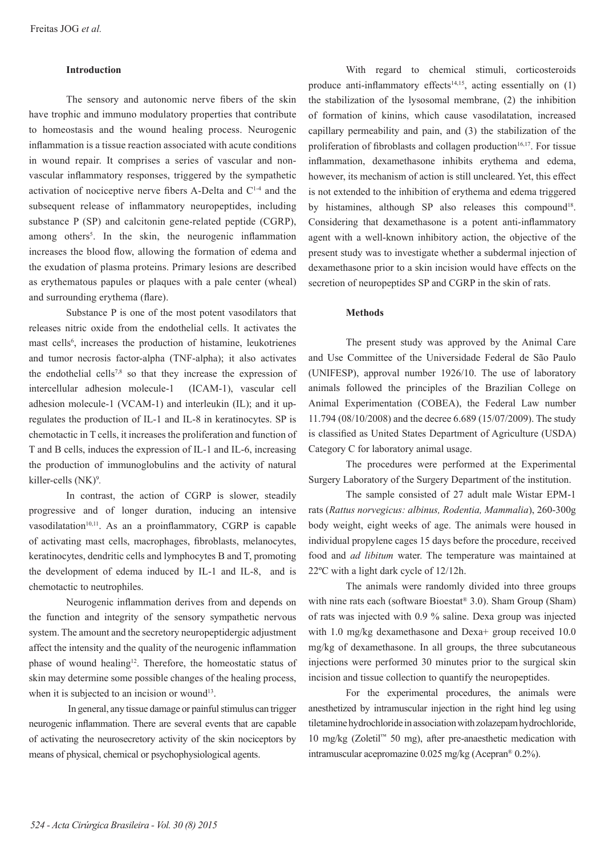#### **Introduction**

The sensory and autonomic nerve fibers of the skin have trophic and immuno modulatory properties that contribute to homeostasis and the wound healing process. Neurogenic inflammation is a tissue reaction associated with acute conditions in wound repair. It comprises a series of vascular and nonvascular inflammatory responses, triggered by the sympathetic activation of nociceptive nerve fibers A-Delta and  $C<sup>1-4</sup>$  and the subsequent release of inflammatory neuropeptides, including substance P (SP) and calcitonin gene-related peptide (CGRP), among others<sup>5</sup>. In the skin, the neurogenic inflammation increases the blood flow, allowing the formation of edema and the exudation of plasma proteins. Primary lesions are described as erythematous papules or plaques with a pale center (wheal) and surrounding erythema (flare).

Substance P is one of the most potent vasodilators that releases nitric oxide from the endothelial cells. It activates the mast cells<sup>6</sup>, increases the production of histamine, leukotrienes and tumor necrosis factor-alpha (TNF-alpha); it also activates the endothelial cells<sup>7,8</sup> so that they increase the expression of intercellular adhesion molecule-1 (ICAM-1), vascular cell adhesion molecule-1 (VCAM-1) and interleukin (IL); and it upregulates the production of IL-1 and IL-8 in keratinocytes. SP is chemotactic in T cells, it increases the proliferation and function of T and B cells, induces the expression of IL-1 and IL-6, increasing the production of immunoglobulins and the activity of natural killer-cells (NK)9 *.*

In contrast, the action of CGRP is slower, steadily progressive and of longer duration, inducing an intensive vasodilatation<sup>10,11</sup>. As an a proinflammatory, CGRP is capable of activating mast cells, macrophages, fibroblasts, melanocytes, keratinocytes, dendritic cells and lymphocytes B and T, promoting the development of edema induced by IL-1 and IL-8, and is chemotactic to neutrophiles.

Neurogenic inflammation derives from and depends on the function and integrity of the sensory sympathetic nervous system. The amount and the secretory neuropeptidergic adjustment affect the intensity and the quality of the neurogenic inflammation phase of wound healing<sup>12</sup>. Therefore, the homeostatic status of skin may determine some possible changes of the healing process, when it is subjected to an incision or wound<sup>13</sup>.

 In general, any tissue damage or painful stimulus can trigger neurogenic inflammation. There are several events that are capable of activating the neurosecretory activity of the skin nociceptors by means of physical, chemical or psychophysiological agents.

With regard to chemical stimuli, corticosteroids produce anti-inflammatory effects<sup>14,15</sup>, acting essentially on  $(1)$ the stabilization of the lysosomal membrane, (2) the inhibition of formation of kinins, which cause vasodilatation, increased capillary permeability and pain, and (3) the stabilization of the proliferation of fibroblasts and collagen production $16,17$ . For tissue inflammation, dexamethasone inhibits erythema and edema, however, its mechanism of action is still uncleared. Yet, this effect is not extended to the inhibition of erythema and edema triggered by histamines, although SP also releases this compound<sup>18</sup>. Considering that dexamethasone is a potent anti-inflammatory agent with a well-known inhibitory action, the objective of the present study was to investigate whether a subdermal injection of dexamethasone prior to a skin incision would have effects on the secretion of neuropeptides SP and CGRP in the skin of rats.

#### **Methods**

The present study was approved by the Animal Care and Use Committee of the Universidade Federal de São Paulo (UNIFESP), approval number 1926/10. The use of laboratory animals followed the principles of the Brazilian College on Animal Experimentation (COBEA), the Federal Law number 11.794 (08/10/2008) and the decree 6.689 (15/07/2009). The study is classified as United States Department of Agriculture (USDA) Category C for laboratory animal usage.

The procedures were performed at the Experimental Surgery Laboratory of the Surgery Department of the institution.

The sample consisted of 27 adult male Wistar EPM-1 rats (*Rattus norvegicus: albinus, Rodentia, Mammalia*), 260-300g body weight, eight weeks of age. The animals were housed in individual propylene cages 15 days before the procedure, received food and *ad libitum* water. The temperature was maintained at 22ºC with a light dark cycle of 12/12h.

The animals were randomly divided into three groups with nine rats each (software Bioestat® 3.0). Sham Group (Sham) of rats was injected with 0.9 % saline. Dexa group was injected with 1.0 mg/kg dexamethasone and Dexa+ group received 10.0 mg/kg of dexamethasone. In all groups, the three subcutaneous injections were performed 30 minutes prior to the surgical skin incision and tissue collection to quantify the neuropeptides.

For the experimental procedures, the animals were anesthetized by intramuscular injection in the right hind leg using tiletamine hydrochloride in association with zolazepam hydrochloride, 10 mg/kg (Zoletil™ 50 mg), after pre-anaesthetic medication with intramuscular acepromazine 0.025 mg/kg (Acepran® 0.2%).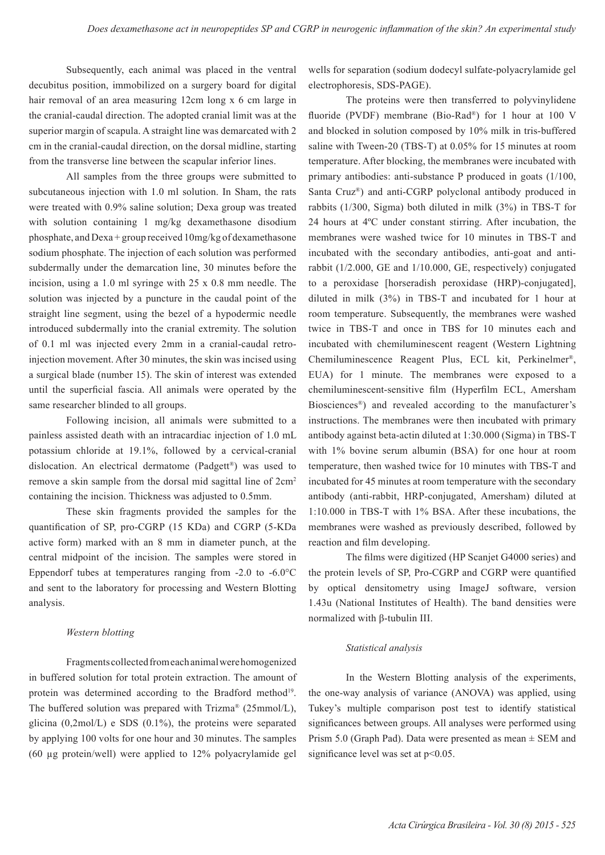Subsequently, each animal was placed in the ventral decubitus position, immobilized on a surgery board for digital hair removal of an area measuring 12cm long x 6 cm large in the cranial-caudal direction. The adopted cranial limit was at the superior margin of scapula. A straight line was demarcated with 2 cm in the cranial-caudal direction, on the dorsal midline, starting from the transverse line between the scapular inferior lines.

All samples from the three groups were submitted to subcutaneous injection with 1.0 ml solution. In Sham, the rats were treated with 0.9% saline solution; Dexa group was treated with solution containing 1 mg/kg dexamethasone disodium phosphate, and Dexa + group received 10mg/kg of dexamethasone sodium phosphate. The injection of each solution was performed subdermally under the demarcation line, 30 minutes before the incision, using a 1.0 ml syringe with 25 x 0.8 mm needle. The solution was injected by a puncture in the caudal point of the straight line segment, using the bezel of a hypodermic needle introduced subdermally into the cranial extremity. The solution of 0.1 ml was injected every 2mm in a cranial-caudal retroinjection movement. After 30 minutes, the skin was incised using a surgical blade (number 15). The skin of interest was extended until the superficial fascia. All animals were operated by the same researcher blinded to all groups.

Following incision, all animals were submitted to a painless assisted death with an intracardiac injection of 1.0 mL potassium chloride at 19.1%, followed by a cervical-cranial dislocation. An electrical dermatome (Padgett®) was used to remove a skin sample from the dorsal mid sagittal line of 2cm2 containing the incision. Thickness was adjusted to 0.5mm.

These skin fragments provided the samples for the quantification of SP, pro-CGRP (15 KDa) and CGRP (5-KDa active form) marked with an 8 mm in diameter punch, at the central midpoint of the incision. The samples were stored in Eppendorf tubes at temperatures ranging from  $-2.0$  to  $-6.0^{\circ}$ C and sent to the laboratory for processing and Western Blotting analysis.

#### *Western blotting*

Fragments collected from each animal were homogenized in buffered solution for total protein extraction. The amount of protein was determined according to the Bradford method<sup>19</sup>. The buffered solution was prepared with Trizma® (25mmol/L), glicina  $(0,2 \text{mol/L})$  e SDS  $(0.1\%)$ , the proteins were separated by applying 100 volts for one hour and 30 minutes. The samples (60 µg protein/well) were applied to 12% polyacrylamide gel wells for separation (sodium dodecyl sulfate-polyacrylamide gel electrophoresis, SDS-PAGE).

The proteins were then transferred to polyvinylidene fluoride (PVDF) membrane (Bio-Rad®) for 1 hour at 100 V and blocked in solution composed by 10% milk in tris-buffered saline with Tween-20 (TBS-T) at 0.05% for 15 minutes at room temperature. After blocking, the membranes were incubated with primary antibodies: anti-substance P produced in goats (1/100, Santa Cruz®) and anti-CGRP polyclonal antibody produced in rabbits (1/300, Sigma) both diluted in milk (3%) in TBS-T for 24 hours at 4ºC under constant stirring. After incubation, the membranes were washed twice for 10 minutes in TBS-T and incubated with the secondary antibodies, anti-goat and antirabbit (1/2.000, GE and 1/10.000, GE, respectively) conjugated to a peroxidase [horseradish peroxidase (HRP)-conjugated], diluted in milk (3%) in TBS-T and incubated for 1 hour at room temperature. Subsequently, the membranes were washed twice in TBS-T and once in TBS for 10 minutes each and incubated with chemiluminescent reagent (Western Lightning Chemiluminescence Reagent Plus, ECL kit, Perkinelmer®, EUA) for 1 minute. The membranes were exposed to a chemiluminescent-sensitive film (Hyperfilm ECL, Amersham Biosciences®) and revealed according to the manufacturer's instructions. The membranes were then incubated with primary antibody against beta-actin diluted at 1:30.000 (Sigma) in TBS-T with 1% bovine serum albumin (BSA) for one hour at room temperature, then washed twice for 10 minutes with TBS-T and incubated for 45 minutes at room temperature with the secondary antibody (anti-rabbit, HRP-conjugated, Amersham) diluted at 1:10.000 in TBS-T with 1% BSA. After these incubations, the membranes were washed as previously described, followed by reaction and film developing.

The films were digitized (HP Scanjet G4000 series) and the protein levels of SP, Pro-CGRP and CGRP were quantified by optical densitometry using ImageJ software, version 1.43u (National Institutes of Health). The band densities were normalized with β-tubulin III.

#### *Statistical analysis*

In the Western Blotting analysis of the experiments, the one-way analysis of variance (ANOVA) was applied, using Tukey's multiple comparison post test to identify statistical significances between groups. All analyses were performed using Prism 5.0 (Graph Pad). Data were presented as mean ± SEM and significance level was set at p<0.05.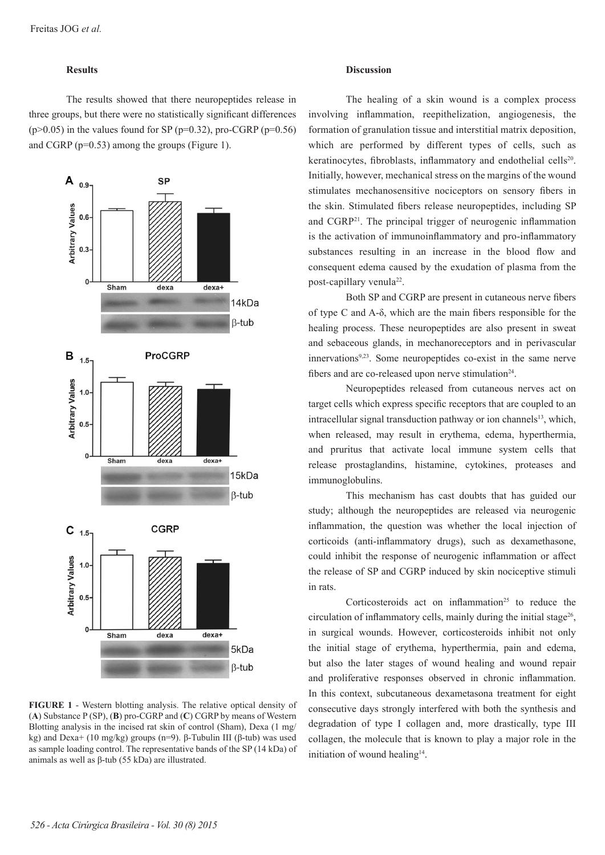### **Results**

The results showed that there neuropeptides release in three groups, but there were no statistically significant differences  $(p>0.05)$  in the values found for SP (p=0.32), pro-CGRP (p=0.56) and CGRP (p=0.53) among the groups (Figure 1).



**FIGURE 1** - Western blotting analysis. The relative optical density of (**A**) Substance P (SP), (**B**) pro-CGRP and (**C**) CGRP by means of Western Blotting analysis in the incised rat skin of control (Sham), Dexa (1 mg/ kg) and Dexa+ (10 mg/kg) groups (n=9). β-Tubulin III (β-tub) was used as sample loading control. The representative bands of the SP (14 kDa) of animals as well as β-tub (55 kDa) are illustrated.

#### **Discussion**

The healing of a skin wound is a complex process involving inflammation, reepithelization, angiogenesis, the formation of granulation tissue and interstitial matrix deposition, which are performed by different types of cells, such as keratinocytes, fibroblasts, inflammatory and endothelial cells<sup>20</sup>. Initially, however, mechanical stress on the margins of the wound stimulates mechanosensitive nociceptors on sensory fibers in the skin. Stimulated fibers release neuropeptides, including SP and CGRP21. The principal trigger of neurogenic inflammation is the activation of immunoinflammatory and pro-inflammatory substances resulting in an increase in the blood flow and consequent edema caused by the exudation of plasma from the post-capillary venula<sup>22</sup>.

Both SP and CGRP are present in cutaneous nerve fibers of type C and A-δ, which are the main fibers responsible for the healing process. These neuropeptides are also present in sweat and sebaceous glands, in mechanoreceptors and in perivascular innervations<sup>9,23</sup>. Some neuropeptides co-exist in the same nerve fibers and are co-released upon nerve stimulation<sup>24</sup>.

Neuropeptides released from cutaneous nerves act on target cells which express specific receptors that are coupled to an intracellular signal transduction pathway or ion channels $^{13}$ , which, when released, may result in erythema, edema, hyperthermia, and pruritus that activate local immune system cells that release prostaglandins, histamine, cytokines, proteases and immunoglobulins.

This mechanism has cast doubts that has guided our study; although the neuropeptides are released via neurogenic inflammation, the question was whether the local injection of corticoids (anti-inflammatory drugs), such as dexamethasone, could inhibit the response of neurogenic inflammation or affect the release of SP and CGRP induced by skin nociceptive stimuli in rats.

Corticosteroids act on inflammation<sup>25</sup> to reduce the circulation of inflammatory cells, mainly during the initial stage<sup>26</sup>, in surgical wounds. However, corticosteroids inhibit not only the initial stage of erythema, hyperthermia, pain and edema, but also the later stages of wound healing and wound repair and proliferative responses observed in chronic inflammation. In this context, subcutaneous dexametasona treatment for eight consecutive days strongly interfered with both the synthesis and degradation of type I collagen and, more drastically, type III collagen, the molecule that is known to play a major role in the initiation of wound healing<sup>14</sup>.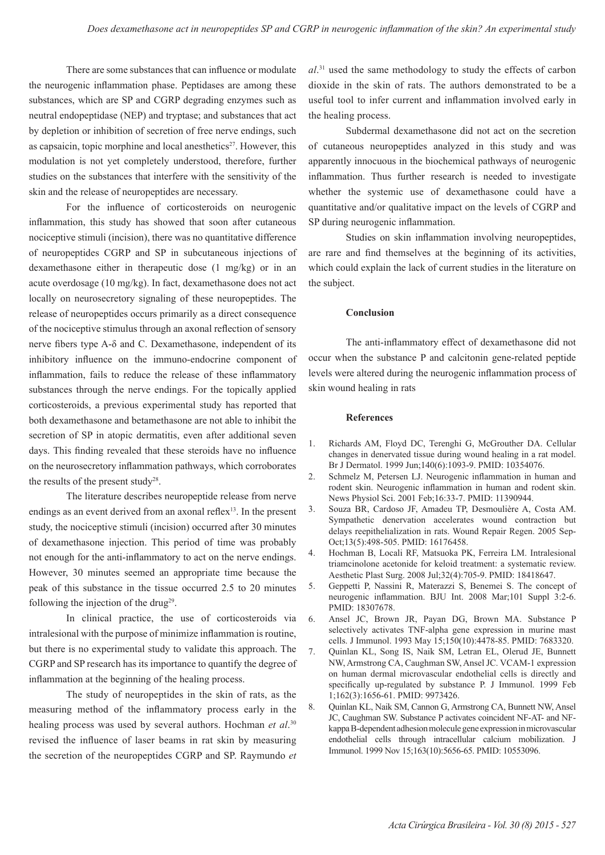There are some substances that can influence or modulate the neurogenic inflammation phase. Peptidases are among these substances, which are SP and CGRP degrading enzymes such as neutral endopeptidase (NEP) and tryptase; and substances that act by depletion or inhibition of secretion of free nerve endings, such as capsaicin, topic morphine and local anesthetics $27$ . However, this modulation is not yet completely understood, therefore, further studies on the substances that interfere with the sensitivity of the skin and the release of neuropeptides are necessary.

For the influence of corticosteroids on neurogenic inflammation, this study has showed that soon after cutaneous nociceptive stimuli (incision), there was no quantitative difference of neuropeptides CGRP and SP in subcutaneous injections of dexamethasone either in therapeutic dose (1 mg/kg) or in an acute overdosage (10 mg/kg). In fact, dexamethasone does not act locally on neurosecretory signaling of these neuropeptides. The release of neuropeptides occurs primarily as a direct consequence of the nociceptive stimulus through an axonal reflection of sensory nerve fibers type A-δ and C. Dexamethasone, independent of its inhibitory influence on the immuno-endocrine component of inflammation, fails to reduce the release of these inflammatory substances through the nerve endings. For the topically applied corticosteroids, a previous experimental study has reported that both dexamethasone and betamethasone are not able to inhibit the secretion of SP in atopic dermatitis, even after additional seven days. This finding revealed that these steroids have no influence on the neurosecretory inflammation pathways, which corroborates the results of the present study<sup>28</sup>.

The literature describes neuropeptide release from nerve endings as an event derived from an axonal reflex<sup>13</sup>. In the present study, the nociceptive stimuli (incision) occurred after 30 minutes of dexamethasone injection. This period of time was probably not enough for the anti-inflammatory to act on the nerve endings. However, 30 minutes seemed an appropriate time because the peak of this substance in the tissue occurred 2.5 to 20 minutes following the injection of the drug<sup>29</sup>.

In clinical practice, the use of corticosteroids via intralesional with the purpose of minimize inflammation is routine, but there is no experimental study to validate this approach. The CGRP and SP research has its importance to quantify the degree of inflammation at the beginning of the healing process.

The study of neuropeptides in the skin of rats, as the measuring method of the inflammatory process early in the healing process was used by several authors. Hochman *et al*. 30 revised the influence of laser beams in rat skin by measuring the secretion of the neuropeptides CGRP and SP. Raymundo *et*  *al*. 31 used the same methodology to study the effects of carbon dioxide in the skin of rats. The authors demonstrated to be a useful tool to infer current and inflammation involved early in the healing process.

Subdermal dexamethasone did not act on the secretion of cutaneous neuropeptides analyzed in this study and was apparently innocuous in the biochemical pathways of neurogenic inflammation. Thus further research is needed to investigate whether the systemic use of dexamethasone could have a quantitative and/or qualitative impact on the levels of CGRP and SP during neurogenic inflammation.

Studies on skin inflammation involving neuropeptides, are rare and find themselves at the beginning of its activities, which could explain the lack of current studies in the literature on the subject.

#### **Conclusion**

The anti-inflammatory effect of dexamethasone did not occur when the substance P and calcitonin gene-related peptide levels were altered during the neurogenic inflammation process of skin wound healing in rats

#### **References**

- 1. Richards AM, Floyd DC, Terenghi G, McGrouther DA. Cellular changes in denervated tissue during wound healing in a rat model. Br J Dermatol. 1999 Jun;140(6):1093-9. PMID: 10354076.
- 2. Schmelz M, Petersen LJ. Neurogenic inflammation in human and rodent skin. Neurogenic inflammation in human and rodent skin. News Physiol Sci. 2001 Feb;16:33-7. PMID: 11390944.
- 3. Souza BR, Cardoso JF, Amadeu TP, Desmoulière A, Costa AM. Sympathetic denervation accelerates wound contraction but delays reepithelialization in rats. Wound Repair Regen. 2005 Sep-Oct;13(5):498-505. PMID: 16176458.
- 4. Hochman B, Locali RF, Matsuoka PK, Ferreira LM. Intralesional triamcinolone acetonide for keloid treatment: a systematic review. Aesthetic Plast Surg. 2008 Jul;32(4):705-9. PMID: 18418647.
- 5. Geppetti P, Nassini R, Materazzi S, Benemei S. The concept of neurogenic inflammation. BJU Int. 2008 Mar;101 Suppl 3:2-6. PMID: 18307678.
- 6. Ansel JC, Brown JR, Payan DG, Brown MA. Substance P selectively activates TNF-alpha gene expression in murine mast cells. J Immunol. 1993 May 15;150(10):4478-85. PMID: 7683320.
- 7. Quinlan KL, Song IS, Naik SM, Letran EL, Olerud JE, Bunnett NW, Armstrong CA, Caughman SW, Ansel JC. VCAM-1 expression on human dermal microvascular endothelial cells is directly and specifically up-regulated by substance P. J Immunol. 1999 Feb 1;162(3):1656-61. PMID: 9973426.
- 8. Quinlan KL, Naik SM, Cannon G, Armstrong CA, Bunnett NW, Ansel JC, Caughman SW. Substance P activates coincident NF-AT- and NFkappa B-dependent adhesion molecule gene expression in microvascular endothelial cells through intracellular calcium mobilization. J Immunol. 1999 Nov 15;163(10):5656-65. PMID: 10553096.